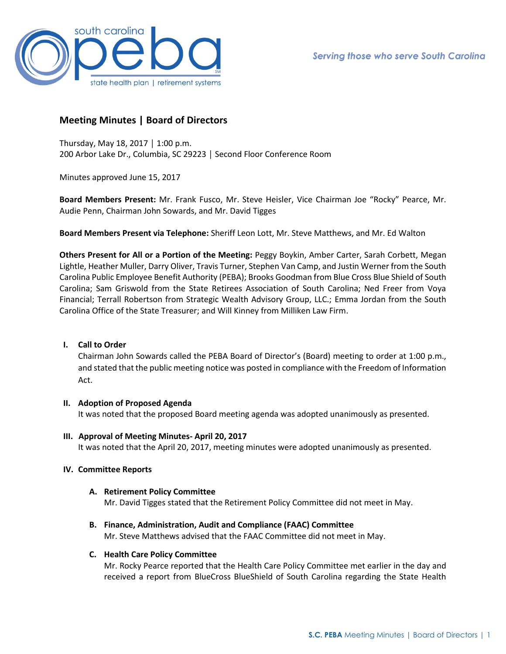

# **Meeting Minutes | Board of Directors**

Thursday, May 18, 2017 │ 1:00 p.m. 200 Arbor Lake Dr., Columbia, SC 29223 │ Second Floor Conference Room

Minutes approved June 15, 2017

**Board Members Present:** Mr. Frank Fusco, Mr. Steve Heisler, Vice Chairman Joe "Rocky" Pearce, Mr. Audie Penn, Chairman John Sowards, and Mr. David Tigges

**Board Members Present via Telephone:** Sheriff Leon Lott, Mr. Steve Matthews, and Mr. Ed Walton

**Others Present for All or a Portion of the Meeting:** Peggy Boykin, Amber Carter, Sarah Corbett, Megan Lightle, Heather Muller, Darry Oliver, Travis Turner, Stephen Van Camp, and Justin Werner from the South Carolina Public Employee Benefit Authority (PEBA); Brooks Goodman from Blue Cross Blue Shield of South Carolina; Sam Griswold from the State Retirees Association of South Carolina; Ned Freer from Voya Financial; Terrall Robertson from Strategic Wealth Advisory Group, LLC.; Emma Jordan from the South Carolina Office of the State Treasurer; and Will Kinney from Milliken Law Firm.

# **I. Call to Order**

Chairman John Sowards called the PEBA Board of Director's (Board) meeting to order at 1:00 p.m., and stated that the public meeting notice was posted in compliance with the Freedom of Information Act.

# **II. Adoption of Proposed Agenda**

It was noted that the proposed Board meeting agenda was adopted unanimously as presented.

**III. Approval of Meeting Minutes- April 20, 2017** It was noted that the April 20, 2017, meeting minutes were adopted unanimously as presented.

# **IV. Committee Reports**

**A. Retirement Policy Committee**

Mr. David Tigges stated that the Retirement Policy Committee did not meet in May.

**B. Finance, Administration, Audit and Compliance (FAAC) Committee** Mr. Steve Matthews advised that the FAAC Committee did not meet in May.

# **C. Health Care Policy Committee**

Mr. Rocky Pearce reported that the Health Care Policy Committee met earlier in the day and received a report from BlueCross BlueShield of South Carolina regarding the State Health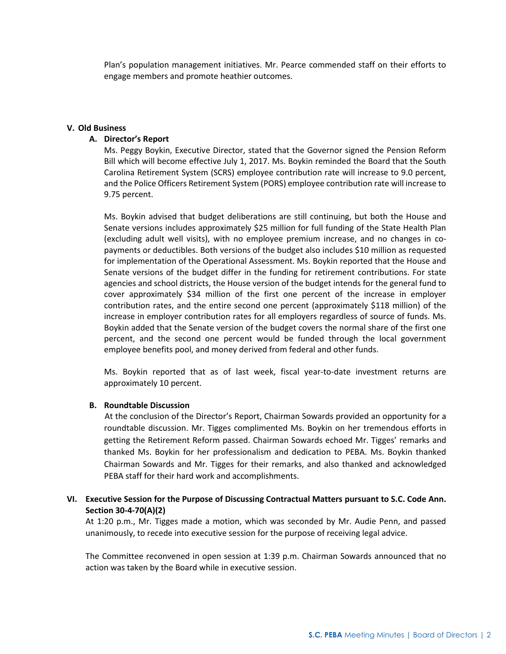Plan's population management initiatives. Mr. Pearce commended staff on their efforts to engage members and promote heathier outcomes.

#### **V. Old Business**

# **A. Director's Report**

Ms. Peggy Boykin, Executive Director, stated that the Governor signed the Pension Reform Bill which will become effective July 1, 2017. Ms. Boykin reminded the Board that the South Carolina Retirement System (SCRS) employee contribution rate will increase to 9.0 percent, and the Police Officers Retirement System (PORS) employee contribution rate will increase to 9.75 percent.

Ms. Boykin advised that budget deliberations are still continuing, but both the House and Senate versions includes approximately \$25 million for full funding of the State Health Plan (excluding adult well visits), with no employee premium increase, and no changes in copayments or deductibles. Both versions of the budget also includes \$10 million as requested for implementation of the Operational Assessment. Ms. Boykin reported that the House and Senate versions of the budget differ in the funding for retirement contributions. For state agencies and school districts, the House version of the budget intends for the general fund to cover approximately \$34 million of the first one percent of the increase in employer contribution rates, and the entire second one percent (approximately \$118 million) of the increase in employer contribution rates for all employers regardless of source of funds. Ms. Boykin added that the Senate version of the budget covers the normal share of the first one percent, and the second one percent would be funded through the local government employee benefits pool, and money derived from federal and other funds.

Ms. Boykin reported that as of last week, fiscal year-to-date investment returns are approximately 10 percent.

# **B. Roundtable Discussion**

 At the conclusion of the Director's Report, Chairman Sowards provided an opportunity for a roundtable discussion. Mr. Tigges complimented Ms. Boykin on her tremendous efforts in getting the Retirement Reform passed. Chairman Sowards echoed Mr. Tigges' remarks and thanked Ms. Boykin for her professionalism and dedication to PEBA. Ms. Boykin thanked Chairman Sowards and Mr. Tigges for their remarks, and also thanked and acknowledged PEBA staff for their hard work and accomplishments.

# **VI. Executive Session for the Purpose of Discussing Contractual Matters pursuant to S.C. Code Ann. Section 30-4-70(A)(2)**

At 1:20 p.m., Mr. Tigges made a motion, which was seconded by Mr. Audie Penn, and passed unanimously, to recede into executive session for the purpose of receiving legal advice.

The Committee reconvened in open session at 1:39 p.m. Chairman Sowards announced that no action was taken by the Board while in executive session.